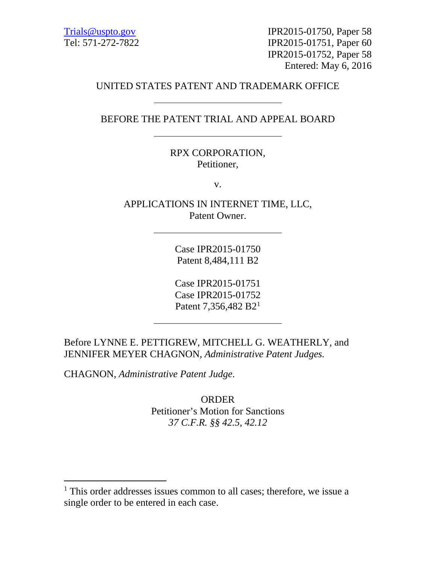[Trials@uspto.gov](mailto:Trials@uspto.gov) IPR2015-01750, Paper 58 Tel: 571-272-7822 IPR2015-01751, Paper 60 IPR2015-01752, Paper 58 Entered: May 6, 2016

## UNITED STATES PATENT AND TRADEMARK OFFICE

BEFORE THE PATENT TRIAL AND APPEAL BOARD

RPX CORPORATION, Petitioner,

v.

APPLICATIONS IN INTERNET TIME, LLC, Patent Owner.

> Case IPR2015-01750 Patent 8,484,111 B2

> Case IPR2015-01751 Case IPR2015-01752 Patent 7,356,482 B2<sup>[1](#page-0-0)</sup>

Before LYNNE E. PETTIGREW, MITCHELL G. WEATHERLY, and JENNIFER MEYER CHAGNON, *Administrative Patent Judges.*

CHAGNON, *Administrative Patent Judge*.

ORDER Petitioner's Motion for Sanctions *37 C.F.R. §§ 42.5, 42.12*

<span id="page-0-0"></span><sup>&</sup>lt;sup>1</sup> This order addresses issues common to all cases; therefore, we issue a single order to be entered in each case.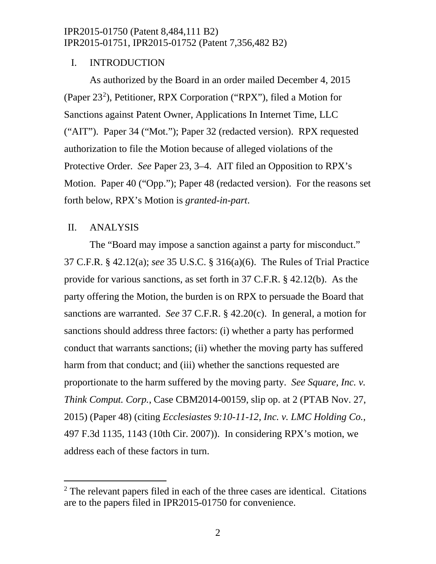## I. INTRODUCTION

As authorized by the Board in an order mailed December 4, 2015 (Paper [2](#page-1-0)3<sup>2</sup>), Petitioner, RPX Corporation ("RPX"), filed a Motion for Sanctions against Patent Owner, Applications In Internet Time, LLC ("AIT"). Paper 34 ("Mot."); Paper 32 (redacted version). RPX requested authorization to file the Motion because of alleged violations of the Protective Order. *See* Paper 23, 3–4. AIT filed an Opposition to RPX's Motion. Paper 40 ("Opp."); Paper 48 (redacted version). For the reasons set forth below, RPX's Motion is *granted-in-part*.

### II. ANALYSIS

The "Board may impose a sanction against a party for misconduct." 37 C.F.R. § 42.12(a); *see* 35 U.S.C. § 316(a)(6). The Rules of Trial Practice provide for various sanctions, as set forth in 37 C.F.R. § 42.12(b). As the party offering the Motion, the burden is on RPX to persuade the Board that sanctions are warranted. *See* 37 C.F.R. § 42.20(c). In general, a motion for sanctions should address three factors: (i) whether a party has performed conduct that warrants sanctions; (ii) whether the moving party has suffered harm from that conduct; and (iii) whether the sanctions requested are proportionate to the harm suffered by the moving party. *See Square, Inc. v. Think Comput. Corp.*, Case CBM2014-00159, slip op. at 2 (PTAB Nov. 27, 2015) (Paper 48) (citing *Ecclesiastes 9:10-11-12, Inc. v. LMC Holding Co.*, 497 F.3d 1135, 1143 (10th Cir. 2007)). In considering RPX's motion, we address each of these factors in turn.

<span id="page-1-0"></span><sup>&</sup>lt;sup>2</sup> The relevant papers filed in each of the three cases are identical. Citations are to the papers filed in IPR2015-01750 for convenience.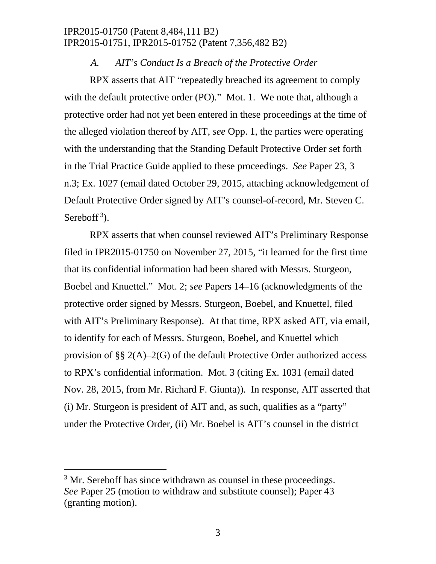#### *A. AIT's Conduct Is a Breach of the Protective Order*

RPX asserts that AIT "repeatedly breached its agreement to comply with the default protective order (PO)." Mot. 1. We note that, although a protective order had not yet been entered in these proceedings at the time of the alleged violation thereof by AIT, *see* Opp. 1, the parties were operating with the understanding that the Standing Default Protective Order set forth in the Trial Practice Guide applied to these proceedings. *See* Paper 23, 3 n.3; Ex. 1027 (email dated October 29, 2015, attaching acknowledgement of Default Protective Order signed by AIT's counsel-of-record, Mr. Steven C. Sereboff<sup>[3](#page-2-0)</sup>).

RPX asserts that when counsel reviewed AIT's Preliminary Response filed in IPR2015-01750 on November 27, 2015, "it learned for the first time that its confidential information had been shared with Messrs. Sturgeon, Boebel and Knuettel." Mot. 2; *see* Papers 14–16 (acknowledgments of the protective order signed by Messrs. Sturgeon, Boebel, and Knuettel, filed with AIT's Preliminary Response). At that time, RPX asked AIT, via email, to identify for each of Messrs. Sturgeon, Boebel, and Knuettel which provision of §§  $2(A)$ –2(G) of the default Protective Order authorized access to RPX's confidential information. Mot. 3 (citing Ex. 1031 (email dated Nov. 28, 2015, from Mr. Richard F. Giunta)). In response, AIT asserted that (i) Mr. Sturgeon is president of AIT and, as such, qualifies as a "party" under the Protective Order, (ii) Mr. Boebel is AIT's counsel in the district

<span id="page-2-0"></span><sup>&</sup>lt;sup>3</sup> Mr. Sereboff has since withdrawn as counsel in these proceedings. *See* Paper 25 (motion to withdraw and substitute counsel); Paper 43 (granting motion).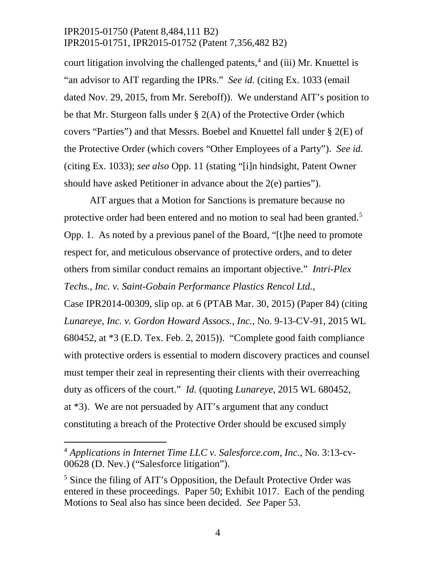court litigation involving the challenged patents, [4](#page-3-0) and (iii) Mr. Knuettel is "an advisor to AIT regarding the IPRs." *See id.* (citing Ex. 1033 (email dated Nov. 29, 2015, from Mr. Sereboff)). We understand AIT's position to be that Mr. Sturgeon falls under  $\S$  2(A) of the Protective Order (which covers "Parties") and that Messrs. Boebel and Knuettel fall under § 2(E) of the Protective Order (which covers "Other Employees of a Party"). *See id.* (citing Ex. 1033); *see also* Opp. 11 (stating "[i]n hindsight, Patent Owner should have asked Petitioner in advance about the 2(e) parties").

AIT argues that a Motion for Sanctions is premature because no protective order had been entered and no motion to seal had been granted.<sup>[5](#page-3-1)</sup> Opp. 1. As noted by a previous panel of the Board, "[t]he need to promote respect for, and meticulous observance of protective orders, and to deter others from similar conduct remains an important objective." *Intri-Plex Techs., Inc. v. Saint-Gobain Performance Plastics Rencol Ltd.*,

Case IPR2014-00309, slip op. at 6 (PTAB Mar. 30, 2015) (Paper 84) (citing *Lunareye, Inc. v. Gordon Howard Assocs., Inc.*, No. 9-13-CV-91, 2015 WL 680452, at \*3 (E.D. Tex. Feb. 2, 2015)). "Complete good faith compliance with protective orders is essential to modern discovery practices and counsel must temper their zeal in representing their clients with their overreaching duty as officers of the court." *Id.* (quoting *Lunareye*, 2015 WL 680452, at \*3). We are not persuaded by AIT's argument that any conduct constituting a breach of the Protective Order should be excused simply

<span id="page-3-0"></span> <sup>4</sup> *Applications in Internet Time LLC v. Salesforce.com, Inc.*, No. 3:13-cv-00628 (D. Nev.) ("Salesforce litigation").

<span id="page-3-1"></span><sup>&</sup>lt;sup>5</sup> Since the filing of AIT's Opposition, the Default Protective Order was entered in these proceedings. Paper 50; Exhibit 1017. Each of the pending Motions to Seal also has since been decided. *See* Paper 53.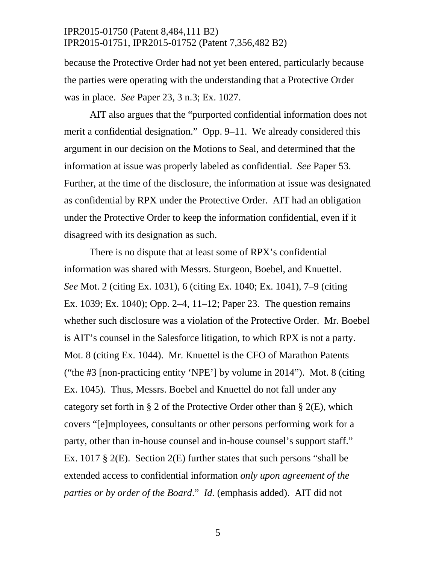because the Protective Order had not yet been entered, particularly because the parties were operating with the understanding that a Protective Order was in place. *See* Paper 23, 3 n.3; Ex. 1027.

AIT also argues that the "purported confidential information does not merit a confidential designation." Opp. 9–11. We already considered this argument in our decision on the Motions to Seal, and determined that the information at issue was properly labeled as confidential. *See* Paper 53. Further, at the time of the disclosure, the information at issue was designated as confidential by RPX under the Protective Order. AIT had an obligation under the Protective Order to keep the information confidential, even if it disagreed with its designation as such.

There is no dispute that at least some of RPX's confidential information was shared with Messrs. Sturgeon, Boebel, and Knuettel. *See* Mot. 2 (citing Ex. 1031), 6 (citing Ex. 1040; Ex. 1041), 7–9 (citing Ex. 1039; Ex. 1040); Opp. 2–4, 11–12; Paper 23. The question remains whether such disclosure was a violation of the Protective Order. Mr. Boebel is AIT's counsel in the Salesforce litigation, to which RPX is not a party. Mot. 8 (citing Ex. 1044). Mr. Knuettel is the CFO of Marathon Patents ("the #3 [non-practicing entity 'NPE'] by volume in 2014"). Mot. 8 (citing Ex. 1045). Thus, Messrs. Boebel and Knuettel do not fall under any category set forth in § 2 of the Protective Order other than §  $2(E)$ , which covers "[e]mployees, consultants or other persons performing work for a party, other than in-house counsel and in-house counsel's support staff." Ex. 1017  $\S$  2(E). Section 2(E) further states that such persons "shall be extended access to confidential information *only upon agreement of the parties or by order of the Board*." *Id.* (emphasis added). AIT did not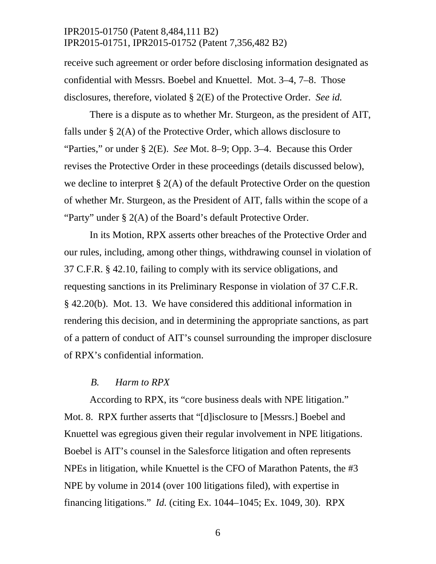receive such agreement or order before disclosing information designated as confidential with Messrs. Boebel and Knuettel. Mot. 3–4, 7–8. Those disclosures, therefore, violated § 2(E) of the Protective Order. *See id.*

There is a dispute as to whether Mr. Sturgeon, as the president of AIT, falls under § 2(A) of the Protective Order, which allows disclosure to "Parties," or under § 2(E). *See* Mot. 8–9; Opp. 3–4. Because this Order revises the Protective Order in these proceedings (details discussed below), we decline to interpret § 2(A) of the default Protective Order on the question of whether Mr. Sturgeon, as the President of AIT, falls within the scope of a "Party" under § 2(A) of the Board's default Protective Order.

In its Motion, RPX asserts other breaches of the Protective Order and our rules, including, among other things, withdrawing counsel in violation of 37 C.F.R. § 42.10, failing to comply with its service obligations, and requesting sanctions in its Preliminary Response in violation of 37 C.F.R. § 42.20(b). Mot. 13. We have considered this additional information in rendering this decision, and in determining the appropriate sanctions, as part of a pattern of conduct of AIT's counsel surrounding the improper disclosure of RPX's confidential information.

#### *B. Harm to RPX*

According to RPX, its "core business deals with NPE litigation." Mot. 8. RPX further asserts that "[d]isclosure to [Messrs.] Boebel and Knuettel was egregious given their regular involvement in NPE litigations. Boebel is AIT's counsel in the Salesforce litigation and often represents NPEs in litigation, while Knuettel is the CFO of Marathon Patents, the #3 NPE by volume in 2014 (over 100 litigations filed), with expertise in financing litigations." *Id.* (citing Ex. 1044–1045; Ex. 1049, 30). RPX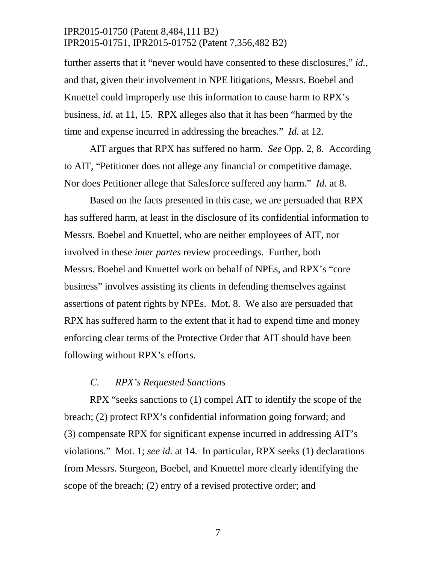further asserts that it "never would have consented to these disclosures," *id.*, and that, given their involvement in NPE litigations, Messrs. Boebel and Knuettel could improperly use this information to cause harm to RPX's business, *id.* at 11, 15. RPX alleges also that it has been "harmed by the time and expense incurred in addressing the breaches." *Id.* at 12.

AIT argues that RPX has suffered no harm. *See* Opp. 2, 8. According to AIT, "Petitioner does not allege any financial or competitive damage. Nor does Petitioner allege that Salesforce suffered any harm." *Id.* at 8.

Based on the facts presented in this case, we are persuaded that RPX has suffered harm, at least in the disclosure of its confidential information to Messrs. Boebel and Knuettel, who are neither employees of AIT, nor involved in these *inter partes* review proceedings. Further, both Messrs. Boebel and Knuettel work on behalf of NPEs, and RPX's "core business" involves assisting its clients in defending themselves against assertions of patent rights by NPEs. Mot. 8. We also are persuaded that RPX has suffered harm to the extent that it had to expend time and money enforcing clear terms of the Protective Order that AIT should have been following without RPX's efforts.

#### *C. RPX's Requested Sanctions*

RPX "seeks sanctions to (1) compel AIT to identify the scope of the breach; (2) protect RPX's confidential information going forward; and (3) compensate RPX for significant expense incurred in addressing AIT's violations." Mot. 1; *see id.* at 14. In particular, RPX seeks (1) declarations from Messrs. Sturgeon, Boebel, and Knuettel more clearly identifying the scope of the breach; (2) entry of a revised protective order; and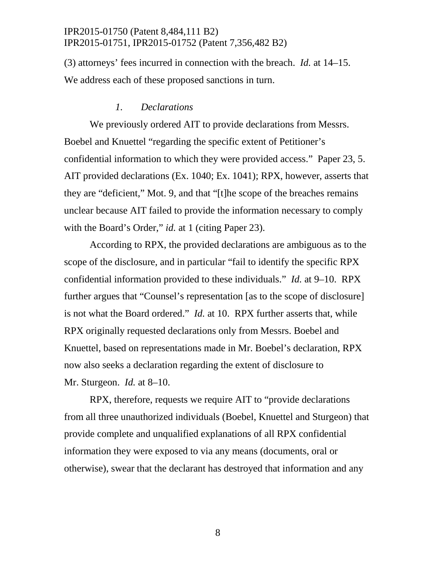(3) attorneys' fees incurred in connection with the breach. *Id.* at 14–15. We address each of these proposed sanctions in turn.

#### *1. Declarations*

We previously ordered AIT to provide declarations from Messrs. Boebel and Knuettel "regarding the specific extent of Petitioner's confidential information to which they were provided access." Paper 23, 5. AIT provided declarations (Ex. 1040; Ex. 1041); RPX, however, asserts that they are "deficient," Mot. 9, and that "[t]he scope of the breaches remains unclear because AIT failed to provide the information necessary to comply with the Board's Order," *id.* at 1 (citing Paper 23).

According to RPX, the provided declarations are ambiguous as to the scope of the disclosure, and in particular "fail to identify the specific RPX confidential information provided to these individuals." *Id.* at 9–10. RPX further argues that "Counsel's representation [as to the scope of disclosure] is not what the Board ordered." *Id.* at 10. RPX further asserts that, while RPX originally requested declarations only from Messrs. Boebel and Knuettel, based on representations made in Mr. Boebel's declaration, RPX now also seeks a declaration regarding the extent of disclosure to Mr. Sturgeon. *Id.* at 8–10.

RPX, therefore, requests we require AIT to "provide declarations from all three unauthorized individuals (Boebel, Knuettel and Sturgeon) that provide complete and unqualified explanations of all RPX confidential information they were exposed to via any means (documents, oral or otherwise), swear that the declarant has destroyed that information and any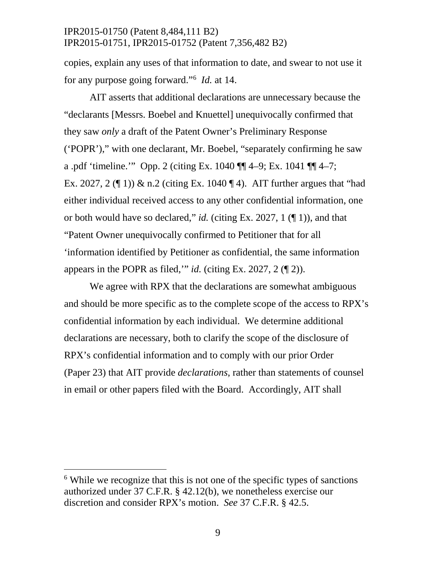copies, explain any uses of that information to date, and swear to not use it for any purpose going forward."[6](#page-8-0) *Id.* at 14.

AIT asserts that additional declarations are unnecessary because the "declarants [Messrs. Boebel and Knuettel] unequivocally confirmed that they saw *only* a draft of the Patent Owner's Preliminary Response ('POPR')," with one declarant, Mr. Boebel, "separately confirming he saw a .pdf 'timeline.'" Opp. 2 (citing Ex. 1040 ¶¶ 4–9; Ex. 1041 ¶¶ 4–7; Ex. 2027, 2 ( $\parallel$  1)) & n.2 (citing Ex. 1040  $\parallel$  4). AIT further argues that "had either individual received access to any other confidential information, one or both would have so declared," *id.* (citing Ex. 2027, 1 (¶ 1)), and that "Patent Owner unequivocally confirmed to Petitioner that for all 'information identified by Petitioner as confidential, the same information appears in the POPR as filed,'" *id.* (citing Ex. 2027, 2 (¶ 2)).

We agree with RPX that the declarations are somewhat ambiguous and should be more specific as to the complete scope of the access to RPX's confidential information by each individual. We determine additional declarations are necessary, both to clarify the scope of the disclosure of RPX's confidential information and to comply with our prior Order (Paper 23) that AIT provide *declarations*, rather than statements of counsel in email or other papers filed with the Board. Accordingly, AIT shall

<span id="page-8-0"></span> $6$  While we recognize that this is not one of the specific types of sanctions authorized under 37 C.F.R. § 42.12(b), we nonetheless exercise our discretion and consider RPX's motion. *See* 37 C.F.R. § 42.5.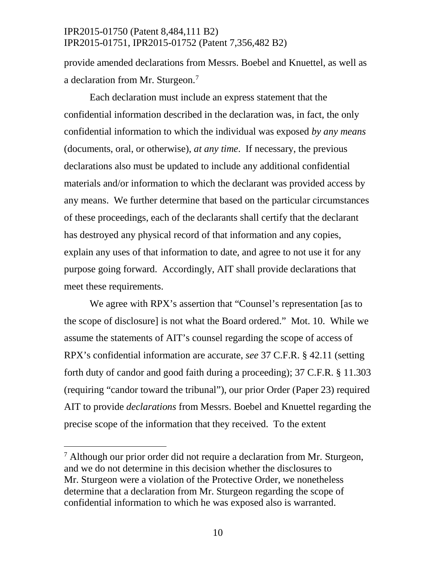provide amended declarations from Messrs. Boebel and Knuettel, as well as a declaration from Mr. Sturgeon.<sup>[7](#page-9-0)</sup>

Each declaration must include an express statement that the confidential information described in the declaration was, in fact, the only confidential information to which the individual was exposed *by any means* (documents, oral, or otherwise), *at any time*. If necessary, the previous declarations also must be updated to include any additional confidential materials and/or information to which the declarant was provided access by any means. We further determine that based on the particular circumstances of these proceedings, each of the declarants shall certify that the declarant has destroyed any physical record of that information and any copies, explain any uses of that information to date, and agree to not use it for any purpose going forward. Accordingly, AIT shall provide declarations that meet these requirements.

We agree with RPX's assertion that "Counsel's representation [as to the scope of disclosure] is not what the Board ordered." Mot. 10. While we assume the statements of AIT's counsel regarding the scope of access of RPX's confidential information are accurate, *see* 37 C.F.R. § 42.11 (setting forth duty of candor and good faith during a proceeding); 37 C.F.R. § 11.303 (requiring "candor toward the tribunal"), our prior Order (Paper 23) required AIT to provide *declarations* from Messrs. Boebel and Knuettel regarding the precise scope of the information that they received. To the extent

<span id="page-9-0"></span> $7$  Although our prior order did not require a declaration from Mr. Sturgeon, and we do not determine in this decision whether the disclosures to Mr. Sturgeon were a violation of the Protective Order, we nonetheless determine that a declaration from Mr. Sturgeon regarding the scope of confidential information to which he was exposed also is warranted.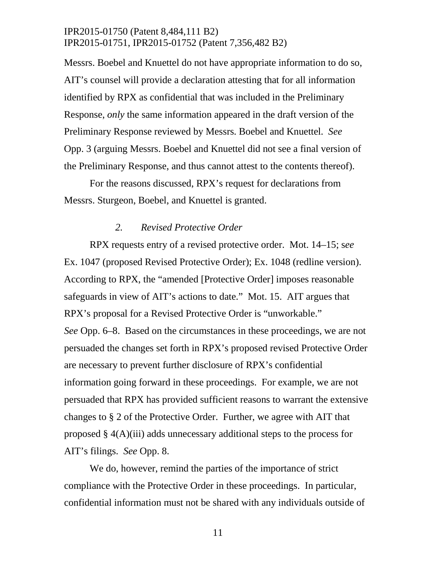Messrs. Boebel and Knuettel do not have appropriate information to do so, AIT's counsel will provide a declaration attesting that for all information identified by RPX as confidential that was included in the Preliminary Response, *only* the same information appeared in the draft version of the Preliminary Response reviewed by Messrs. Boebel and Knuettel. *See*  Opp. 3 (arguing Messrs. Boebel and Knuettel did not see a final version of the Preliminary Response, and thus cannot attest to the contents thereof).

For the reasons discussed, RPX's request for declarations from Messrs. Sturgeon, Boebel, and Knuettel is granted.

#### *2. Revised Protective Order*

RPX requests entry of a revised protective order. Mot. 14–15; s*ee*  Ex. 1047 (proposed Revised Protective Order); Ex. 1048 (redline version). According to RPX, the "amended [Protective Order] imposes reasonable safeguards in view of AIT's actions to date." Mot. 15. AIT argues that RPX's proposal for a Revised Protective Order is "unworkable." *See* Opp. 6–8. Based on the circumstances in these proceedings, we are not persuaded the changes set forth in RPX's proposed revised Protective Order are necessary to prevent further disclosure of RPX's confidential information going forward in these proceedings. For example, we are not persuaded that RPX has provided sufficient reasons to warrant the extensive changes to § 2 of the Protective Order. Further, we agree with AIT that proposed § 4(A)(iii) adds unnecessary additional steps to the process for AIT's filings. *See* Opp. 8.

We do, however, remind the parties of the importance of strict compliance with the Protective Order in these proceedings. In particular, confidential information must not be shared with any individuals outside of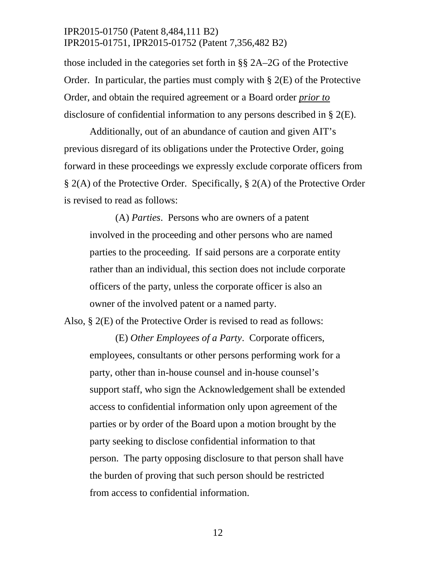those included in the categories set forth in §§ 2A–2G of the Protective Order. In particular, the parties must comply with  $\S$  2(E) of the Protective Order, and obtain the required agreement or a Board order *prior to* disclosure of confidential information to any persons described in § 2(E).

Additionally, out of an abundance of caution and given AIT's previous disregard of its obligations under the Protective Order, going forward in these proceedings we expressly exclude corporate officers from § 2(A) of the Protective Order. Specifically, § 2(A) of the Protective Order is revised to read as follows:

(A) *Parties*. Persons who are owners of a patent involved in the proceeding and other persons who are named parties to the proceeding. If said persons are a corporate entity rather than an individual, this section does not include corporate officers of the party, unless the corporate officer is also an owner of the involved patent or a named party.

Also, § 2(E) of the Protective Order is revised to read as follows:

(E) *Other Employees of a Party*. Corporate officers, employees, consultants or other persons performing work for a party, other than in-house counsel and in-house counsel's support staff, who sign the Acknowledgement shall be extended access to confidential information only upon agreement of the parties or by order of the Board upon a motion brought by the party seeking to disclose confidential information to that person. The party opposing disclosure to that person shall have the burden of proving that such person should be restricted from access to confidential information.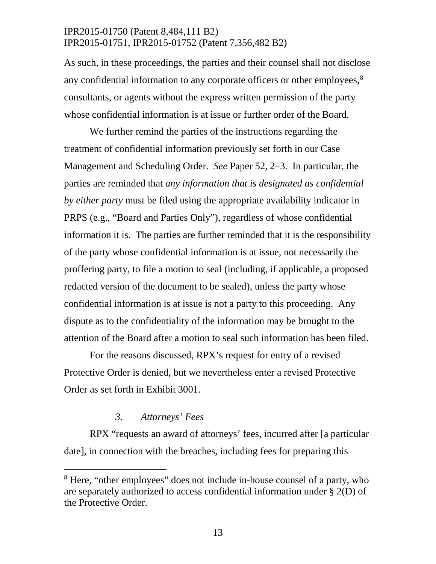As such, in these proceedings, the parties and their counsel shall not disclose any confidential information to any corporate officers or other employees,<sup>[8](#page-12-0)</sup> consultants, or agents without the express written permission of the party whose confidential information is at issue or further order of the Board.

We further remind the parties of the instructions regarding the treatment of confidential information previously set forth in our Case Management and Scheduling Order. *See* Paper 52, 2–3. In particular, the parties are reminded that *any information that is designated as confidential by either party* must be filed using the appropriate availability indicator in PRPS (e.g., "Board and Parties Only"), regardless of whose confidential information it is. The parties are further reminded that it is the responsibility of the party whose confidential information is at issue, not necessarily the proffering party, to file a motion to seal (including, if applicable, a proposed redacted version of the document to be sealed), unless the party whose confidential information is at issue is not a party to this proceeding. Any dispute as to the confidentiality of the information may be brought to the attention of the Board after a motion to seal such information has been filed.

For the reasons discussed, RPX's request for entry of a revised Protective Order is denied, but we nevertheless enter a revised Protective Order as set forth in Exhibit 3001.

#### *3. Attorneys' Fees*

RPX "requests an award of attorneys' fees, incurred after [a particular date], in connection with the breaches, including fees for preparing this

<span id="page-12-0"></span><sup>&</sup>lt;sup>8</sup> Here, "other employees" does not include in-house counsel of a party, who are separately authorized to access confidential information under § 2(D) of the Protective Order.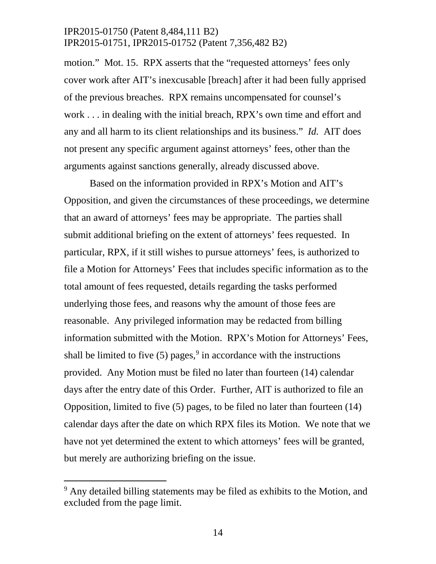motion." Mot. 15. RPX asserts that the "requested attorneys' fees only cover work after AIT's inexcusable [breach] after it had been fully apprised of the previous breaches. RPX remains uncompensated for counsel's work . . . in dealing with the initial breach, RPX's own time and effort and any and all harm to its client relationships and its business." *Id.* AIT does not present any specific argument against attorneys' fees, other than the arguments against sanctions generally, already discussed above.

Based on the information provided in RPX's Motion and AIT's Opposition, and given the circumstances of these proceedings, we determine that an award of attorneys' fees may be appropriate. The parties shall submit additional briefing on the extent of attorneys' fees requested. In particular, RPX, if it still wishes to pursue attorneys' fees, is authorized to file a Motion for Attorneys' Fees that includes specific information as to the total amount of fees requested, details regarding the tasks performed underlying those fees, and reasons why the amount of those fees are reasonable. Any privileged information may be redacted from billing information submitted with the Motion. RPX's Motion for Attorneys' Fees, shall be limited to five  $(5)$  pages,<sup>[9](#page-13-0)</sup> in accordance with the instructions provided. Any Motion must be filed no later than fourteen (14) calendar days after the entry date of this Order. Further, AIT is authorized to file an Opposition, limited to five (5) pages, to be filed no later than fourteen (14) calendar days after the date on which RPX files its Motion. We note that we have not yet determined the extent to which attorneys' fees will be granted, but merely are authorizing briefing on the issue.

<span id="page-13-0"></span><sup>&</sup>lt;sup>9</sup> Any detailed billing statements may be filed as exhibits to the Motion, and excluded from the page limit.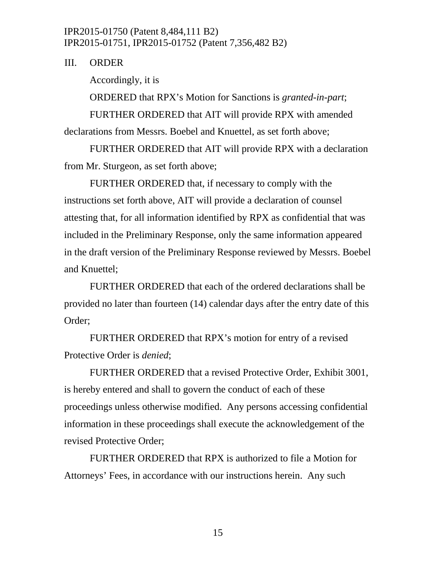III. ORDER

Accordingly, it is

ORDERED that RPX's Motion for Sanctions is *granted-in-part*;

FURTHER ORDERED that AIT will provide RPX with amended

declarations from Messrs. Boebel and Knuettel, as set forth above;

FURTHER ORDERED that AIT will provide RPX with a declaration from Mr. Sturgeon, as set forth above;

FURTHER ORDERED that, if necessary to comply with the instructions set forth above, AIT will provide a declaration of counsel attesting that, for all information identified by RPX as confidential that was included in the Preliminary Response, only the same information appeared in the draft version of the Preliminary Response reviewed by Messrs. Boebel and Knuettel;

FURTHER ORDERED that each of the ordered declarations shall be provided no later than fourteen (14) calendar days after the entry date of this Order;

FURTHER ORDERED that RPX's motion for entry of a revised Protective Order is *denied*;

FURTHER ORDERED that a revised Protective Order, Exhibit 3001, is hereby entered and shall to govern the conduct of each of these proceedings unless otherwise modified. Any persons accessing confidential information in these proceedings shall execute the acknowledgement of the revised Protective Order;

FURTHER ORDERED that RPX is authorized to file a Motion for Attorneys' Fees, in accordance with our instructions herein. Any such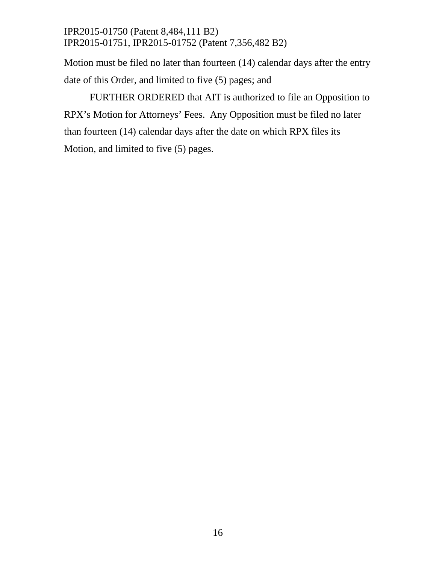Motion must be filed no later than fourteen (14) calendar days after the entry date of this Order, and limited to five (5) pages; and

FURTHER ORDERED that AIT is authorized to file an Opposition to RPX's Motion for Attorneys' Fees. Any Opposition must be filed no later than fourteen (14) calendar days after the date on which RPX files its Motion, and limited to five (5) pages.